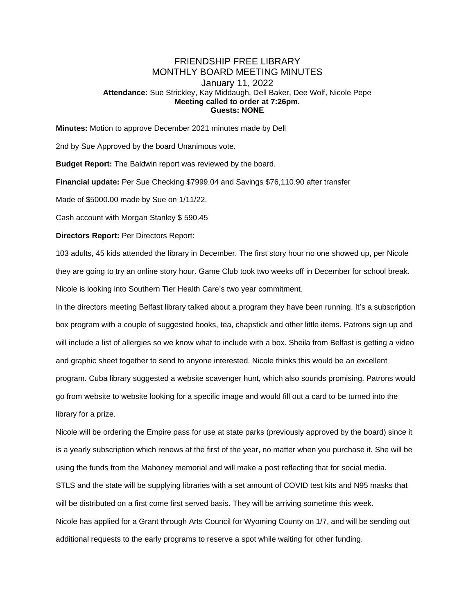## FRIENDSHIP FREE LIBRARY MONTHLY BOARD MEETING MINUTES January 11, 2022 **Attendance:** Sue Strickley, Kay Middaugh, Dell Baker, Dee Wolf, Nicole Pepe **Meeting called to order at 7:26pm. Guests: NONE**

**Minutes:** Motion to approve December 2021 minutes made by Dell

2nd by Sue Approved by the board Unanimous vote.

**Budget Report:** The Baldwin report was reviewed by the board.

**Financial update:** Per Sue Checking \$7999.04 and Savings \$76,110.90 after transfer

Made of \$5000.00 made by Sue on 1/11/22.

Cash account with Morgan Stanley \$ 590.45

**Directors Report:** Per Directors Report:

103 adults, 45 kids attended the library in December. The first story hour no one showed up, per Nicole they are going to try an online story hour. Game Club took two weeks off in December for school break. Nicole is looking into Southern Tier Health Care's two year commitment.

In the directors meeting Belfast library talked about a program they have been running. It's a subscription box program with a couple of suggested books, tea, chapstick and other little items. Patrons sign up and will include a list of allergies so we know what to include with a box. Sheila from Belfast is getting a video and graphic sheet together to send to anyone interested. Nicole thinks this would be an excellent program. Cuba library suggested a website scavenger hunt, which also sounds promising. Patrons would go from website to website looking for a specific image and would fill out a card to be turned into the library for a prize.

Nicole will be ordering the Empire pass for use at state parks (previously approved by the board) since it is a yearly subscription which renews at the first of the year, no matter when you purchase it. She will be using the funds from the Mahoney memorial and will make a post reflecting that for social media. STLS and the state will be supplying libraries with a set amount of COVID test kits and N95 masks that will be distributed on a first come first served basis. They will be arriving sometime this week. Nicole has applied for a Grant through Arts Council for Wyoming County on 1/7, and will be sending out additional requests to the early programs to reserve a spot while waiting for other funding.